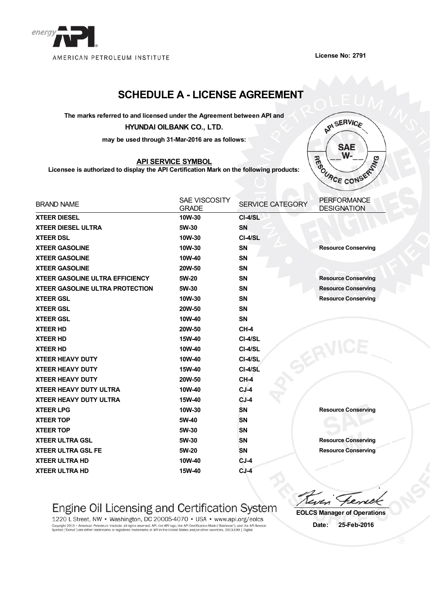

**License No: 2791**

## **SCHEDULE A - LICENSE AGREEMENT**

**The marks referred to and licensed under the Agreement between API and**

#### **HYUNDAI OILBANK CO., LTD.**

**may be used through 31-Mar-2016 are as follows:**

### **API SERVICE SYMBOL**

**Licensee is authorized to display the API Certification Mark on the following products:**



| <b>BRAND NAME</b>                      | <b>SAE VISCOSITY</b><br><b>GRADE</b> | <b>SERVICE CATEGORY</b> | <b>PERFORMANCE</b><br><b>DESIGNATION</b> |
|----------------------------------------|--------------------------------------|-------------------------|------------------------------------------|
| <b>XTEER DIESEL</b>                    | 10W-30                               | CI-4/SL                 |                                          |
| <b>XTEER DIESEL ULTRA</b>              | 5W-30                                | <b>SN</b>               |                                          |
| <b>XTEER DSL</b>                       | 10W-30                               | CI-4/SL                 |                                          |
| <b>XTEER GASOLINE</b>                  | 10W-30                               | <b>SN</b>               | <b>Resource Conserving</b>               |
| <b>XTEER GASOLINE</b>                  | 10W-40                               | <b>SN</b>               |                                          |
| <b>XTEER GASOLINE</b>                  | 20W-50                               | <b>SN</b>               |                                          |
| <b>XTEER GASOLINE ULTRA EFFICIENCY</b> | 5W-20                                | <b>SN</b>               | <b>Resource Conserving</b>               |
| <b>XTEER GASOLINE ULTRA PROTECTION</b> | 5W-30                                | <b>SN</b>               | <b>Resource Conserving</b>               |
| <b>XTEER GSL</b>                       | 10W-30                               | <b>SN</b>               | <b>Resource Conserving</b>               |
| <b>XTEER GSL</b>                       | 20W-50                               | <b>SN</b>               |                                          |
| <b>XTEER GSL</b>                       | 10W-40                               | <b>SN</b>               |                                          |
| <b>XTEER HD</b>                        | 20W-50                               | $CH-4$                  |                                          |
| <b>XTEER HD</b>                        | 15W-40                               | CI-4/SL                 |                                          |
| <b>XTEER HD</b>                        | 10W-40                               | CI-4/SL                 |                                          |
| <b>XTEER HEAVY DUTY</b>                | 10W-40                               | CI-4/SL                 |                                          |
| <b>XTEER HEAVY DUTY</b>                | 15W-40                               | CI-4/SL                 |                                          |
| <b>XTEER HEAVY DUTY</b>                | 20W-50                               | $CH-4$                  |                                          |
| <b>XTEER HEAVY DUTY ULTRA</b>          | 10W-40                               | $CJ-4$                  |                                          |
| <b>XTEER HEAVY DUTY ULTRA</b>          | 15W-40                               | $CJ-4$                  |                                          |
| <b>XTEER LPG</b>                       | 10W-30                               | <b>SN</b>               | <b>Resource Conserving</b>               |
| <b>XTEER TOP</b>                       | 5W-40                                | <b>SN</b>               |                                          |
| <b>XTEER TOP</b>                       | 5W-30                                | <b>SN</b>               |                                          |
| <b>XTEER ULTRA GSL</b>                 | 5W-30                                | <b>SN</b>               | <b>Resource Conserving</b>               |
| <b>XTEER ULTRA GSL FE</b>              | 5W-20                                | <b>SN</b>               | <b>Resource Conserving</b>               |
| <b>XTEER ULTRA HD</b>                  | 10W-40                               | $CJ-4$                  |                                          |
| <b>XTEER ULTRA HD</b>                  | 15W-40                               | $CJ-4$                  |                                          |

# Engine Oil Licensing and Certification System

1220 L Street, NW • Washington, DC 20005-4070 • USA • www.api.org/eolcs Copyright 2013 - American Petroleum Institute, all rights reserved. API, the API logo, the API Certification Mark ("Starburst"), and the API Service<br>Symbol ("Donut") are either trademarks or registered trademarks of API in

r\_ **EOLCS Manager of Operations**

**Date: 25-Feb-2016**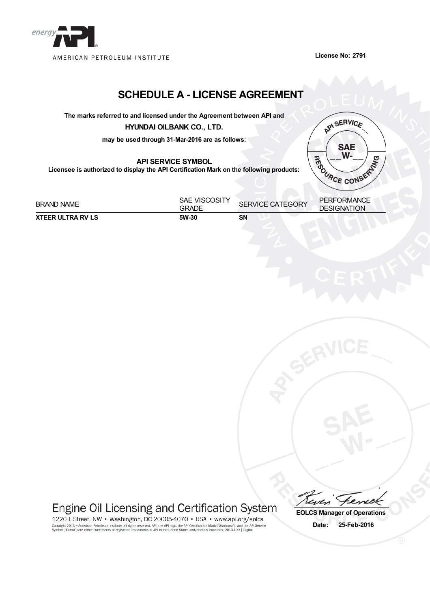

**License No: 2791**

## **SCHEDULE A - LICENSE AGREEMENT**

**The marks referred to and licensed under the Agreement between API and**

**HYUNDAI OILBANK CO., LTD.**

**may be used through 31-Mar-2016 are as follows:**

**API SERVICE SYMBOL**

**Licensee is authorized to display the API Certification Mark on the following products:**



BRAND NAME SAE VISCOSITY GRADE SERVICE CATEGORY PERFORMANCE **DESIGNATION XTEER ULTRA RV LS 5W-30 SN**

Engine Oil Licensing and Certification System

1220 L Street, NW • Washington, DC 20005-4070 • USA • www.api.org/eolcs Copyright 2013 - American Petroleum Institute, all rights reserved. API, the API logo, the API Certification Mark ("Starburst"), and the API Service<br>Symbol ("Donut") are either trademarks or registered trademarks of API in

**EOLCS Manager of Operations Date: 25-Feb-2016**